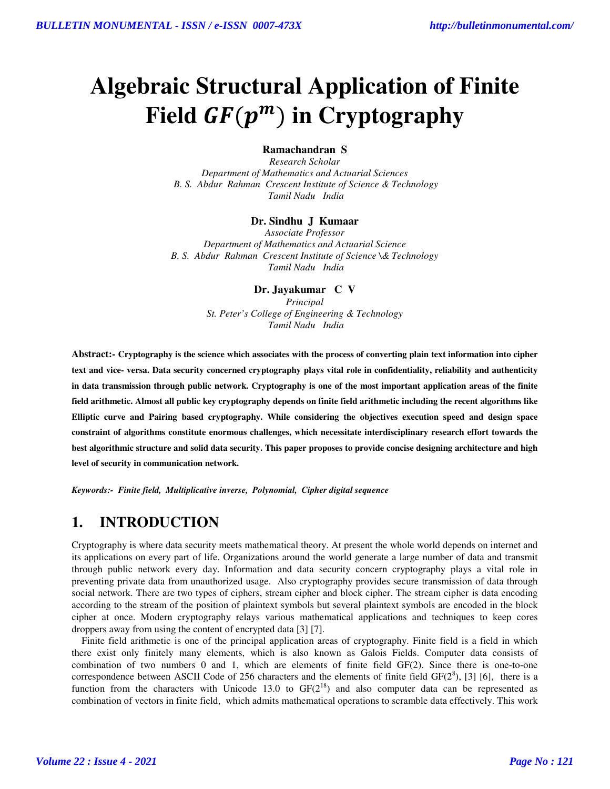# **Algebraic Structural Application of Finite**  Field  $GF(p^m)$  in Cryptography

#### **Ramachandran S**

*Research Scholar Department of Mathematics and Actuarial Sciences B. S. Abdur Rahman Crescent Institute of Science & Technology Tamil Nadu India* 

#### **Dr. Sindhu J Kumaar**

*Associate Professor Department of Mathematics and Actuarial Science B. S. Abdur Rahman Crescent Institute of Science \& Technology Tamil Nadu India* 

**Dr. Jayakumar C V**

*Principal St. Peter's College of Engineering & Technology Tamil Nadu India* 

**Abstract:- Cryptography is the science which associates with the process of converting plain text information into cipher text and vice- versa. Data security concerned cryptography plays vital role in confidentiality, reliability and authenticity in data transmission through public network. Cryptography is one of the most important application areas of the finite field arithmetic. Almost all public key cryptography depends on finite field arithmetic including the recent algorithms like Elliptic curve and Pairing based cryptography. While considering the objectives execution speed and design space constraint of algorithms constitute enormous challenges, which necessitate interdisciplinary research effort towards the best algorithmic structure and solid data security. This paper proposes to provide concise designing architecture and high level of security in communication network.** 

*Keywords:-**Finite field, Multiplicative inverse, Polynomial, Cipher digital sequence*

# **1. INTRODUCTION**

Cryptography is where data security meets mathematical theory. At present the whole world depends on internet and its applications on every part of life. Organizations around the world generate a large number of data and transmit through public network every day. Information and data security concern cryptography plays a vital role in preventing private data from unauthorized usage. Also cryptography provides secure transmission of data through social network. There are two types of ciphers, stream cipher and block cipher. The stream cipher is data encoding according to the stream of the position of plaintext symbols but several plaintext symbols are encoded in the block cipher at once. Modern cryptography relays various mathematical applications and techniques to keep cores droppers away from using the content of encrypted data [3] [7].

 Finite field arithmetic is one of the principal application areas of cryptography. Finite field is a field in which there exist only finitely many elements, which is also known as Galois Fields. Computer data consists of combination of two numbers 0 and 1, which are elements of finite field GF(2). Since there is one-to-one correspondence between ASCII Code of 256 characters and the elements of finite field  $GF(2^8)$ , [3] [6], there is a function from the characters with Unicode 13.0 to  $GF(2^{18})$  and also computer data can be represented as combination of vectors in finite field, which admits mathematical operations to scramble data effectively. This work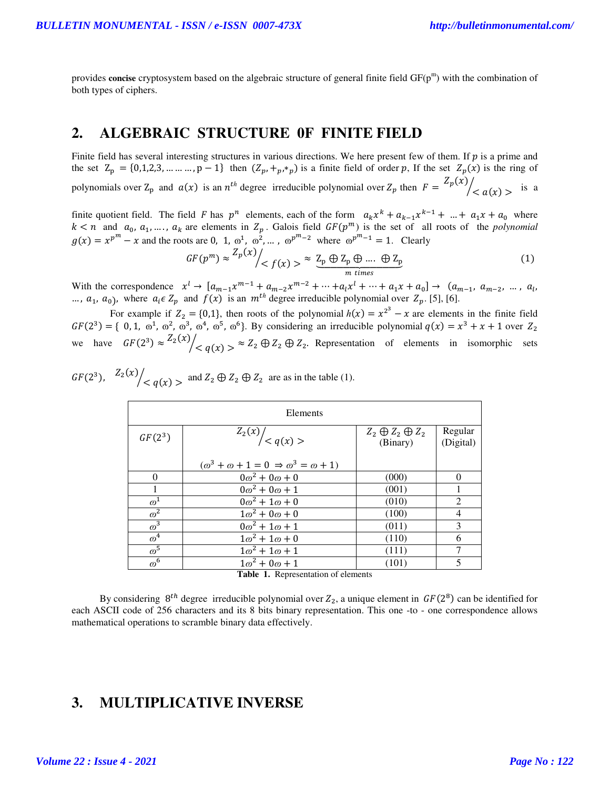provides **concise** cryptosystem based on the algebraic structure of general finite field GF(p<sup>m</sup>) with the combination of both types of ciphers.

### **2. ALGEBRAIC STRUCTURE 0F FINITE FIELD**

Finite field has several interesting structures in various directions. We here present few of them. If  $p$  is a prime and the set  $Z_p = \{0, 1, 2, 3, \dots, n - 1\}$  then  $(Z_p, +p^*p)$  is a finite field of order p, If the set  $Z_p(x)$  is the ring of polynomials over  $Z_p$  and  $a(x)$  is an  $n^{th}$  degree irreducible polynomial over  $Z_p$  then  $F = \frac{Z_p(x)}{A_p}$  $\sqrt{2}a(x)$  > is a

finite quotient field. The field F has  $p^n$  elements, each of the form  $a_k x^k + a_{k-1} x^{k-1} + ... + a_1 x + a_0$  where  $k < n$  and  $a_0, a_1, \ldots, a_k$  are elements in  $Z_p$ . Galois field  $GF(p^m)$  is the set of all roots of the *polynomial*  $g(x) = x^{p^m} - x$  and the roots are 0, 1,  $\omega^1$ ,  $\omega^2$ , ...,  $\omega^{p^m-2}$  where  $\omega^{p^m-1} = 1$ . Clearly

$$
GF(p^m) \approx \frac{Z_p(x)}{Z_f(x)} > \approx \underbrace{Z_p \oplus Z_p \oplus \dots \oplus Z_p}_{m \text{ times}} \tag{1}
$$

With the correspondence  $x^{l} \to [a_{m-1}x^{m-1} + a_{m-2}x^{m-2} + \cdots + a_{l}x^{l} + \cdots + a_{1}x + a_{0}] \to (a_{m-1}, a_{m-2}, \dots, a_{l}, a_{m-l})$ ...,  $a_1$ ,  $a_0$ ), where  $a_i \in Z_p$  and  $f(x)$  is an  $m^{th}$  degree irreducible polynomial over  $Z_p$ . [5], [6].

For example if  $Z_2 = \{0,1\}$ , then roots of the polynomial  $h(x) = x^{2^3} - x$  are elements in the finite field  $GF(2^3) = \{ 0, 1, \omega^1, \omega^2, \omega^3, \omega^4, \omega^5, \omega^6 \}.$  By considering an irreducible polynomial  $q(x) = x^3 + x + 1$  over  $Z_2$ we have  $GF(2^3) \approx \frac{Z_2(x)}{x}$  $\sqrt{2}$   $\leq q(x) > \infty$   $Z_2 \oplus Z_2$ . Representation of elements in isomorphic sets

 $GF(2^3)$ ,  $Z_2(x)$  $\sqrt{q(x)}$  > and  $Z_2 \oplus Z_2 \oplus Z_2$  are as in the table (1).

| Elements              |                                                                 |                                         |                      |
|-----------------------|-----------------------------------------------------------------|-----------------------------------------|----------------------|
| $GF(2^3)$             | $\left. \frac{\overline{Z_2(x)}}{Z_2(x)} \right  < q(x) >$      | $Z_2 \oplus Z_2 \oplus Z_2$<br>(Binary) | Regular<br>(Digital) |
|                       | $(\omega^3 + \omega + 1 = 0 \Rightarrow \omega^3 = \omega + 1)$ |                                         |                      |
| $\Omega$              | $0\omega^2 + 0\omega + 0$                                       | (000)                                   | 0                    |
|                       | $0\omega^2 + 0\omega + 1$                                       | (001)                                   |                      |
| $\varpi^1$            | $0\omega^2 + 1\omega + 0$                                       | (010)                                   | 2                    |
| $\overline{\omega^2}$ | $1\omega^2 + 0\omega + 0$                                       | (100)                                   | $\overline{4}$       |
| $\omega^3$            | $0\omega^2 + 1\omega + 1$                                       | (011)                                   | 3                    |
| $\overline{\omega}^4$ | $1\omega^2 + 1\omega + 0$                                       | (110)                                   | 6                    |
| $\overline{\omega}^5$ | $1\omega^2 + 1\omega + 1$                                       | (111)                                   | 7                    |
| $\varpi^6$            | $1\omega^2 + 0\omega + 1$                                       | (101)                                   | 5                    |

**Table 1.** Representation of elements

By considering  $8^{th}$  degree irreducible polynomial over  $Z_2$ , a unique element in  $GF(2^8)$  can be identified for each ASCII code of 256 characters and its 8 bits binary representation. This one -to - one correspondence allows mathematical operations to scramble binary data effectively.

# **3. MULTIPLICATIVE INVERSE**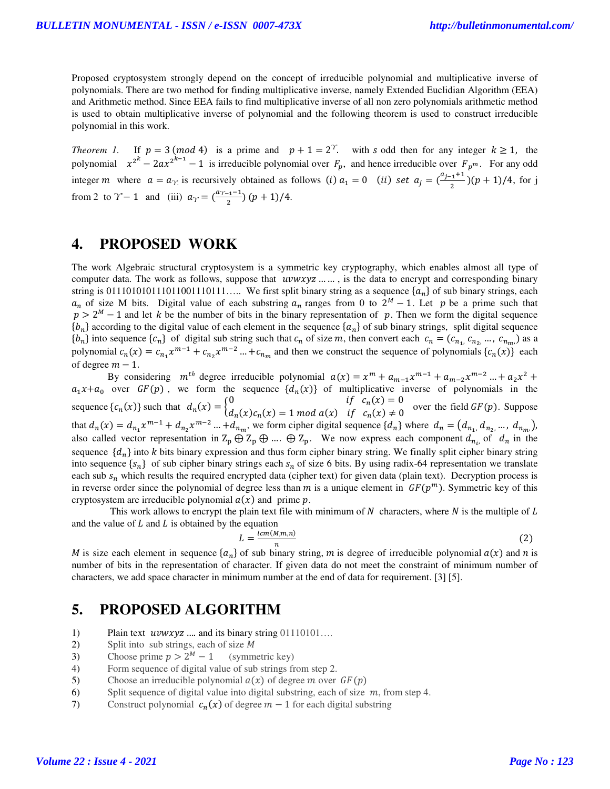Proposed cryptosystem strongly depend on the concept of irreducible polynomial and multiplicative inverse of polynomials. There are two method for finding multiplicative inverse, namely Extended Euclidian Algorithm (EEA) and Arithmetic method. Since EEA fails to find multiplicative inverse of all non zero polynomials arithmetic method is used to obtain multiplicative inverse of polynomial and the following theorem is used to construct irreducible polynomial in this work.

*Theorem 1.* If  $p = 3 \pmod{4}$  is a prime and  $p + 1 = 2^{\gamma}$ , with s odd then for any integer  $k \ge 1$ , the polynomial  $x^{2^k} - 2ax^{2^{k-1}} - 1$  is irreducible polynomial over  $F_p$ , and hence irreducible over  $F_p^m$ . For any odd integer *m* where  $a = a_{\gamma}$  is recursively obtained as follows (i)  $a_1 = 0$  (ii) set  $a_j = \left(\frac{a_{j-1}+1}{2}\right)(p+1)/4$ , for j from 2 to  $\gamma$  – 1 and (iii)  $a_{\gamma} = \left(\frac{a_{\gamma-1}-1}{2}\right)(p+1)/4$ .

### **4. PROPOSED WORK**

The work Algebraic structural cryptosystem is a symmetric key cryptography, which enables almost all type of computer data. The work as follows, suppose that  $uvwxyz$  … …, is the data to encrypt and corresponding binary string is 011101010111011001110111..... We first split binary string as a sequence  $\{a_n\}$  of sub binary strings, each  $a_n$  of size M bits. Digital value of each substring  $a_n$  ranges from 0 to  $2^M - 1$ . Let p be a prime such that  $p > 2^M - 1$  and let k be the number of bits in the binary representation of p. Then we form the digital sequence  $\{b_n\}$  according to the digital value of each element in the sequence  $\{a_n\}$  of sub binary strings, split digital sequence  $\{b_n\}$  into sequence  $\{c_n\}$  of digital sub string such that  $c_n$  of size m, then convert each  $c_n = (c_{n_1}, c_{n_2}, ..., c_{n_m})$  as a polynomial  $c_n(x) = c_{n_1} x^{m-1} + c_{n_2} x^{m-2} ... + c_{n_m}$  and then we construct the sequence of polynomials  $\{c_n(x)\}$  each of degree  $m - 1$ .

By considering  $m^{th}$  degree irreducible polynomial  $a(x) = x^m + a_{m-1}x^{m-1} + a_{m-2}x^{m-2} + a_2x^2 +$  $a_1x + a_0$  over  $GF(p)$ , we form the sequence  $\{d_n(x)\}\$  of multiplicative inverse of polynomials in the sequence  $\{c_n(x)\}$  such that  $d_n(x) = \begin{cases} 0 & \text{if } c_n(x) = 0 \\ d_n(x) c_n(x) & \text{if } c_n(x) \neq 0 \end{cases}$  $d_n(x)c_n(x) = 1 \mod a(x)$  if  $c_n(x) \neq 0$  over the field  $GF(p)$ . Suppose that  $d_n(x) = d_{n_1} x^{m-1} + d_{n_2} x^{m-2} ... + d_{n_m}$ , we form cipher digital sequence  $\{d_n\}$  where  $d_n = (d_{n_1}, d_{n_2}, ..., d_{n_m})$ , also called vector representation in  $Z_p \oplus Z_p \oplus ... \oplus Z_p$ . We now express each component  $d_{n_i}$ , of  $d_n$  in the sequence  $\{d_n\}$  into k bits binary expression and thus form cipher binary string. We finally split cipher binary string into sequence  $\{s_n\}$  of sub cipher binary strings each  $s_n$  of size 6 bits. By using radix-64 representation we translate each sub  $s_n$  which results the required encrypted data (cipher text) for given data (plain text). Decryption process is in reverse order since the polynomial of degree less than  $m$  is a unique element in  $GF(p^m)$ . Symmetric key of this cryptosystem are irreducible polynomial  $a(x)$  and prime p.

This work allows to encrypt the plain text file with minimum of  $N$  characters, where  $N$  is the multiple of  $L$ and the value of  $L$  and  $L$  is obtained by the equation

$$
L = \frac{lcm(M,m,n)}{n} \tag{2}
$$

M is size each element in sequence  $\{a_n\}$  of sub binary string, m is degree of irreducible polynomial  $a(x)$  and n is number of bits in the representation of character. If given data do not meet the constraint of minimum number of characters, we add space character in minimum number at the end of data for requirement. [3] [5].

# **5. PROPOSED ALGORITHM**

- 1) Plain text  $uvwxyz$  …. and its binary string  $01110101...$
- 2) Split into sub strings, each of size  $M$
- 3) Choose prime  $p > 2^M 1$ (symmetric key)
- 4) Form sequence of digital value of sub strings from step 2.
- 5) Choose an irreducible polynomial  $a(x)$  of degree m over  $GF(p)$
- 6) Split sequence of digital value into digital substring, each of size *, from step 4.*
- 7) Construct polynomial  $c_n(x)$  of degree  $m 1$  for each digital substring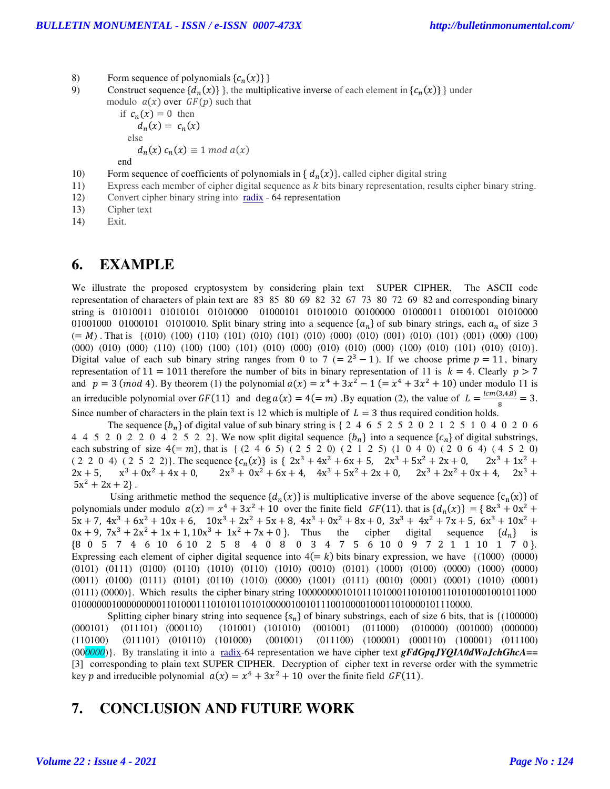- 8) Form sequence of polynomials  $\{c_n(x)\}\}\$
- 9) Construct sequence  $\{d_n(x)\}\}\,$ , the multiplicative inverse of each element in  $\{c_n(x)\}\}\$  under modulo  $a(x)$  over  $GF(p)$  such that

if 
$$
c_n(x) = 0
$$
 then  
\n $d_n(x) = c_n(x)$   
\nelse  
\n $d_n(x) c_n(x) \equiv 1 \mod a(x)$ 

end

- 10) Form sequence of coefficients of polynomials in  $\{d_n(x)\}$ , called cipher digital string
- 11) Express each member of cipher digital sequence as k bits binary representation, results cipher binary string.
- 12) Convert cipher binary string into radix 64 representation
- 13) Cipher text
- 14) Exit.

## **6. EXAMPLE**

We illustrate the proposed cryptosystem by considering plain text SUPER CIPHER, The ASCII code representation of characters of plain text are 83 85 80 69 82 32 67 73 80 72 69 82 and corresponding binary string is 01010011 01010101 01010000 01000101 01010010 00100000 01000011 01001001 01010000 01001000 01000101 01010010. Split binary string into a sequence  $\{a_n\}$  of sub binary strings, each  $a_n$  of size 3  $(= M)$ . That is  $\{(010) (100) (110) (101) (010) (101) (010) (000) (000) (001) (001) (001) (000) (100) (100)$ (000) (010) (000) (110) (100) (100) (101) (010) (000) (010) (010) (000) (100) (010) (101) (010) (010)}. Digital value of each sub binary string ranges from 0 to 7 (=  $2^3 - 1$ ). If we choose prime  $p = 11$ , binary representation of 11 = 1011 therefore the number of bits in binary representation of 11 is  $k = 4$ . Clearly  $p > 7$ and  $p = 3 \pmod{4}$ . By theorem (1) the polynomial  $a(x) = x^4 + 3x^2 - 1 (= x^4 + 3x^2 + 10)$  under modulo 11 is an irreducible polynomial over  $GF(11)$  and  $\deg a(x) = 4 (= m)$ . By equation (2), the value of  $L = \frac{lcm(3,4,8)}{8} = 3$ . Since number of characters in the plain text is 12 which is multiple of  $L = 3$  thus required condition holds.

The sequence \_" of digital value of sub binary string is { 2 4 6 5 2 5 2 0 2 1 2 5 1 0 4 0 2 0 6 4 4 5 2 0 2 2 0 4 2 5 2 2}. We now split digital sequence  $\{b_n\}$  into a sequence  $\{c_n\}$  of digital substrings, each substring of size  $4(= m)$ , that is { (2 4 6 5) (2 5 2 0) (2 1 2 5) (1 0 4 0) (2 0 6 4) (4 5 2 0)<br>(2 2 0 4) (2 5 2 2)}. The sequence  $\{c_n(x)\}\$ is {  $2x^3 + 4x^2 + 6x + 5$ ,  $2x^3 + 5x^2 + 2x + 0$ ,  $2x^3 + 1x^2 +$  $(2\ 2\ 0\ 4)$   $(2\ 5\ 2\ 2)$ . The sequence  $\{c_n(x)\}\$ is  $\{2x^3 + 4x^2 + 6x + 5, 2x^3 + 5x^2 + 2x + 0, 2x^3 + 1x^2 + 4x^2 + 6x + 5\}$  $2x + 5$ ,  $x^3 + 0x^2 + 4x + 0$ ,  $2x^3 + 0x^2 + 6x + 4$ ,  $4x^3 + 5x^2 + 2x + 0$ ,  $2x^3 + 2x^2 + 0x + 4$ ,  $2x^3 + 2x^2 + 6x + 4$  $5x^2 + 2x + 2$ .

Using arithmetic method the sequence  $\{d_n(x)\}$  is multiplicative inverse of the above sequence  $\{c_n(x)\}$  of polynomials under modulo  $a(x) = x^4 + 3x^2 + 10$  over the finite field  $GF(11)$  that is  $\{d_n(x)\} = \{8x^3 + 0x^2 + 10\}$  $5x + 7$ ,  $4x^3 + 6x^2 + 10x + 6$ ,  $10x^3 + 2x^2 + 5x + 8$ ,  $4x^3 + 0x^2 + 8x + 0$ ,  $3x^3 + 4x^2 + 7x + 5$ ,  $6x^3 + 10x^2 + 0x + 9$ ,  $7x^3 + 2x^2 + 1x + 1$ ,  $10x^3 + 1x^2 + 7x + 0$ }. Thus the cipher digital sequence  $\{d_n\}$  is  $0x + 9$ ,  $7x^3 + 2x^2 + 1x + 1$ ,  $10x^3 + 1x^2 + 7x + 0$  ? Thus the cipher digital sequence  $\{d_n\}$  is 8 0 5 7 4 6 10 6 10 2 5 8 4 0 8 0 3 4 7 5 6 10 0 9 7 2 1 1 10 1 7 0 . Expressing each element of cipher digital sequence into  $4(= k)$  bits binary expression, we have  $\{(1000) (0000)$ (0101) (0111) (0100) (0110) (1010) (0110) (1010) (0010) (0101) (1000) (0100) (0000) (1000) (0000) (0011) (0100) (0111) (0101) (0110) (1010) (0000) (1001) (0111) (0010) (0001) (0001) (1010) (0001) (0111) (0000)}. Which results the cipher binary string 100000000101011101000110101001101010001001011000 01000000100000000011010001110101011010100000100101110010000100011010000101110000.

Splitting cipher binary string into sequence  $\{s_n\}$  of binary substrings, each of size 6 bits, that is  $\{(100000)$   $(000101)$   $(001101)$   $(000100)$   $(101001)$   $(011000)$   $(011000)$   $(010000)$   $(000000)$  $(011000)$   $(010000)$   $(001000)$   $(000000)$ (110100) (011101) (010110) (101000) (001001) (011100) (100001) (000110) (100001) (011100) (00*0000*)}. By translating it into a radix-64 representation we have cipher text *gFdGpqJYQIA0dWoJchGhcA==* [3] corresponding to plain text SUPER CIPHER. Decryption of cipher text in reverse order with the symmetric key p and irreducible polynomial  $a(x) = x^4 + 3x^2 + 10$  over the finite field  $GF(11)$ .

# **7. CONCLUSION AND FUTURE WORK**